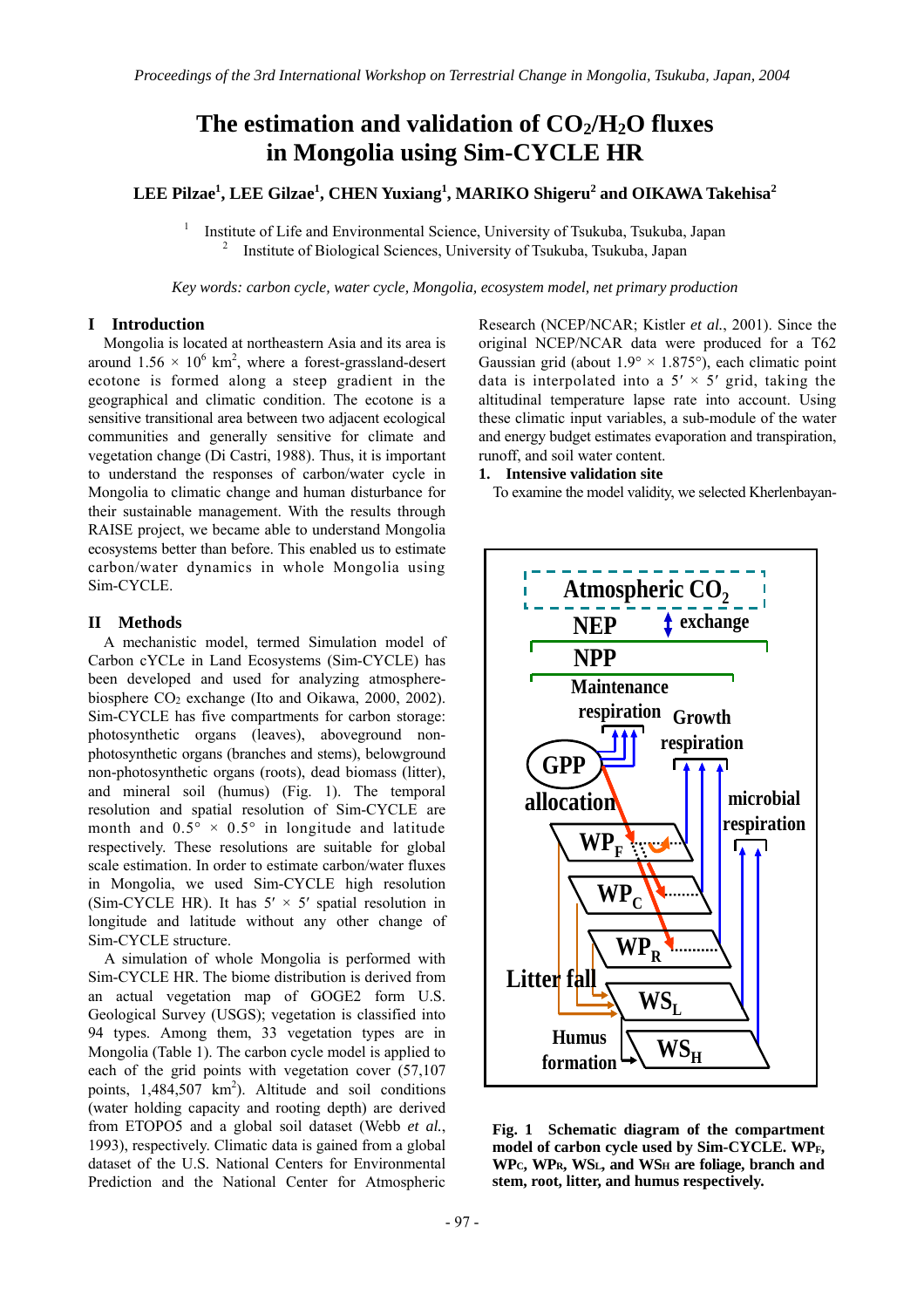# The estimation and validation of  $CO<sub>2</sub>/H<sub>2</sub>O$  fluxes **in Mongolia using Sim-CYCLE HR**

## **LEE Pilzae1 , LEE Gilzae1 , CHEN Yuxiang<sup>1</sup> , MARIKO Shigeru<sup>2</sup> and OIKAWA Takehisa<sup>2</sup>**

1 Institute of Life and Environmental Science, University of Tsukuba, Tsukuba, Japan 2 Institute of Biological Sciences, University of Tsukuba, Tsukuba, Japan

*Key words: carbon cycle, water cycle, Mongolia, ecosystem model, net primary production* 

### **I Introduction**

Mongolia is located at northeastern Asia and its area is around  $1.56 \times 10^6$  km<sup>2</sup>, where a forest-grassland-desert ecotone is formed along a steep gradient in the geographical and climatic condition. The ecotone is a sensitive transitional area between two adjacent ecological communities and generally sensitive for climate and vegetation change (Di Castri, 1988). Thus, it is important to understand the responses of carbon/water cycle in Mongolia to climatic change and human disturbance for their sustainable management. With the results through RAISE project, we became able to understand Mongolia ecosystems better than before. This enabled us to estimate carbon/water dynamics in whole Mongolia using Sim-CYCLE.

#### **II Methods**

A mechanistic model, termed Simulation model of Carbon cYCLe in Land Ecosystems (Sim-CYCLE) has been developed and used for analyzing atmospherebiosphere CO2 exchange (Ito and Oikawa, 2000, 2002). Sim-CYCLE has five compartments for carbon storage: photosynthetic organs (leaves), aboveground nonphotosynthetic organs (branches and stems), belowground non-photosynthetic organs (roots), dead biomass (litter), and mineral soil (humus) (Fig. 1). The temporal resolution and spatial resolution of Sim-CYCLE are month and  $0.5^{\circ} \times 0.5^{\circ}$  in longitude and latitude respectively. These resolutions are suitable for global scale estimation. In order to estimate carbon/water fluxes in Mongolia, we used Sim-CYCLE high resolution (Sim-CYCLE HR). It has  $5' \times 5'$  spatial resolution in longitude and latitude without any other change of Sim-CYCLE structure.

A simulation of whole Mongolia is performed with Sim-CYCLE HR. The biome distribution is derived from an actual vegetation map of GOGE2 form U.S. Geological Survey (USGS); vegetation is classified into 94 types. Among them, 33 vegetation types are in Mongolia (Table 1). The carbon cycle model is applied to each of the grid points with vegetation cover (57,107 points,  $1,484,507 \text{ km}^2$ ). Altitude and soil conditions (water holding capacity and rooting depth) are derived from ETOPO5 and a global soil dataset (Webb *et al.*, 1993), respectively. Climatic data is gained from a global dataset of the U.S. National Centers for Environmental Prediction and the National Center for Atmospheric

Research (NCEP/NCAR; Kistler *et al.*, 2001). Since the original NCEP/NCAR data were produced for a T62 Gaussian grid (about  $1.9^{\circ} \times 1.875^{\circ}$ ), each climatic point data is interpolated into a  $5' \times 5'$  grid, taking the altitudinal temperature lapse rate into account. Using these climatic input variables, a sub-module of the water and energy budget estimates evaporation and transpiration, runoff, and soil water content.

#### **1. Intensive validation site**

To examine the model validity, we selected Kherlenbayan-



**Fig. 1 Schematic diagram of the compartment model of carbon cycle used by Sim-CYCLE. WPF, WPC, WPR, WSL, and WSH are foliage, branch and stem, root, litter, and humus respectively.**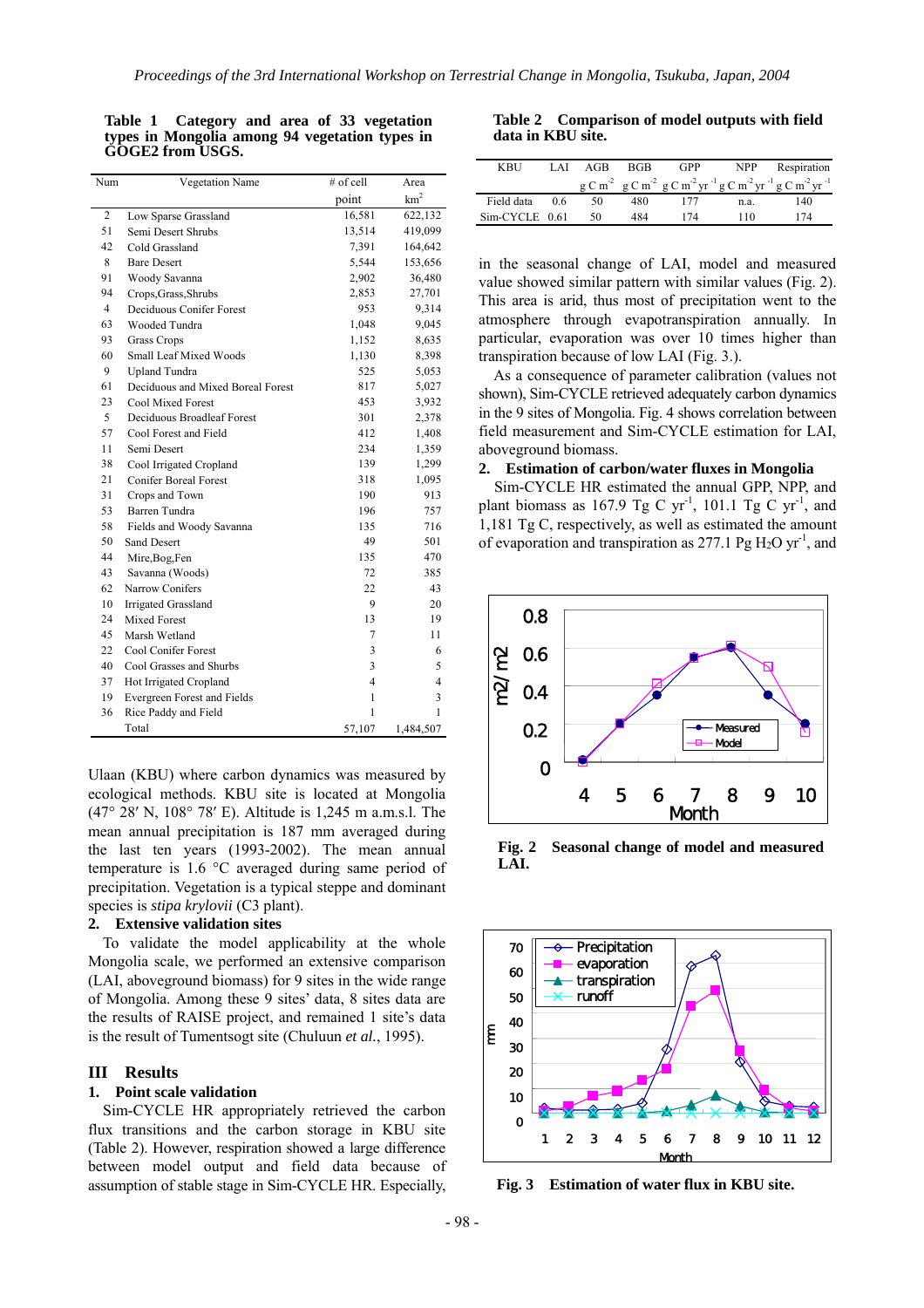| Num            | Vegetation Name                   | # of cell      | Area            |
|----------------|-----------------------------------|----------------|-----------------|
|                |                                   | point          | km <sup>2</sup> |
| $\overline{2}$ | Low Sparse Grassland              | 16,581         | 622,132         |
| 51             | Semi Desert Shrubs                | 13,514         | 419,099         |
| 42             | Cold Grassland                    | 7,391          | 164,642         |
| 8              | <b>Bare Desert</b>                | 5,544          | 153,656         |
| 91             | Woody Savanna                     | 2,902          | 36,480          |
| 94             | Crops, Grass, Shrubs              | 2,853          | 27,701          |
| $\overline{4}$ | Deciduous Conifer Forest          | 953            | 9,314           |
| 63             | Wooded Tundra                     | 1,048          | 9,045           |
| 93             | <b>Grass Crops</b>                | 1,152          | 8,635           |
| 60             | Small Leaf Mixed Woods            | 1,130          | 8,398           |
| 9              | <b>Upland Tundra</b>              | 525            | 5,053           |
| 61             | Deciduous and Mixed Boreal Forest | 817            | 5,027           |
| 23             | <b>Cool Mixed Forest</b>          | 453            | 3,932           |
| 5              | Deciduous Broadleaf Forest        | 301            | 2,378           |
| 57             | Cool Forest and Field             | 412            | 1,408           |
| 11             | Semi Desert                       | 234            | 1,359           |
| 38             | Cool Irrigated Cropland           | 139            | 1,299           |
| 21             | <b>Conifer Boreal Forest</b>      | 318            | 1,095           |
| 31             | Crops and Town                    | 190            | 913             |
| 53             | <b>Barren Tundra</b>              | 196            | 757             |
| 58             | Fields and Woody Savanna          | 135            | 716             |
| 50             | <b>Sand Desert</b>                | 49             | 501             |
| 44             | Mire, Bog, Fen                    | 135            | 470             |
| 43             | Savanna (Woods)                   | 72             | 385             |
| 62             | Narrow Conifers                   | 22             | 43              |
| 10             | <b>Irrigated Grassland</b>        | 9              | 20              |
| 24             | <b>Mixed Forest</b>               | 13             | 19              |
| 45             | Marsh Wetland                     | 7              | 11              |
| 22             | Cool Conifer Forest               | 3              | 6               |
| 40             | Cool Grasses and Shurbs           | 3              | 5               |
| 37             | Hot Irrigated Cropland            | $\overline{4}$ | $\overline{4}$  |
| 19             | Evergreen Forest and Fields       | 1              | 3               |
| 36             | Rice Paddy and Field              | 1              | 1               |
|                | Total                             | 57,107         | 1,484,507       |

**Table 1 Category and area of 33 vegetation types in Mongolia among 94 vegetation types in GOGE2 from USGS.** 

Ulaan (KBU) where carbon dynamics was measured by ecological methods. KBU site is located at Mongolia (47° 28′ N, 108° 78′ E). Altitude is 1,245 m a.m.s.l. The mean annual precipitation is 187 mm averaged during the last ten years (1993-2002). The mean annual temperature is 1.6 °C averaged during same period of precipitation. Vegetation is a typical steppe and dominant species is *stipa krylovii* (C3 plant).

#### **2. Extensive validation sites**

To validate the model applicability at the whole Mongolia scale, we performed an extensive comparison (LAI, aboveground biomass) for 9 sites in the wide range of Mongolia. Among these 9 sites' data, 8 sites data are the results of RAISE project, and remained 1 site's data is the result of Tumentsogt site (Chuluun *et al.*, 1995).

#### **III Results**

#### **1. Point scale validation**

Sim-CYCLE HR appropriately retrieved the carbon flux transitions and the carbon storage in KBU site (Table 2). However, respiration showed a large difference between model output and field data because of assumption of stable stage in Sim-CYCLE HR. Especially,

 $T_{\text{max}}$  2. Comparison of  $\frac{1}{2}$ **Table 2 Comparison of model outputs with field data in KBU site.** 

| <b>KBU</b>       | LAI | AGB | <b>BGB</b> | GPP | <b>NPP</b> | Respiration                                                                                                                                  |
|------------------|-----|-----|------------|-----|------------|----------------------------------------------------------------------------------------------------------------------------------------------|
|                  |     |     |            |     |            | $g C m-2$ g C m <sup>-2</sup> g C m <sup>-2</sup> yr <sup>-1</sup> g C m <sup>-2</sup> yr <sup>-1</sup> g C m <sup>-2</sup> yr <sup>-1</sup> |
| Field data       | 06  | 50  | 480        |     | n.a.       | 140                                                                                                                                          |
| $Sim-CYCLE$ 0.61 |     | 50  | 484        | 174 | 110        | 174                                                                                                                                          |

in the seasonal change of LAI, model and measured value showed similar pattern with similar values (Fig. 2). This area is arid, thus most of precipitation went to the atmosphere through evapotranspiration annually. In particular, evaporation was over 10 times higher than transpiration because of low LAI (Fig. 3.).

As a consequence of parameter calibration (values not shown), Sim-CYCLE retrieved adequately carbon dynamics in the 9 sites of Mongolia. Fig. 4 shows correlation between field measurement and Sim-CYCLE estimation for LAI, aboveground biomass.

#### **2. Estimation of carbon/water fluxes in Mongolia**

Sim-CYCLE HR estimated the annual GPP, NPP, and plant biomass as 167.9 Tg C yr<sup>-1</sup>, 101.1 Tg C yr<sup>-1</sup>, and 1,181 Tg C, respectively, as well as estimated the amount of evaporation and transpiration as  $277.1$  Pg H<sub>2</sub>O yr<sup>-1</sup>, and



**Fig. 2 Seasonal change of model and measured LAI.** 



**Fig. 3 Estimation of water flux in KBU site.**